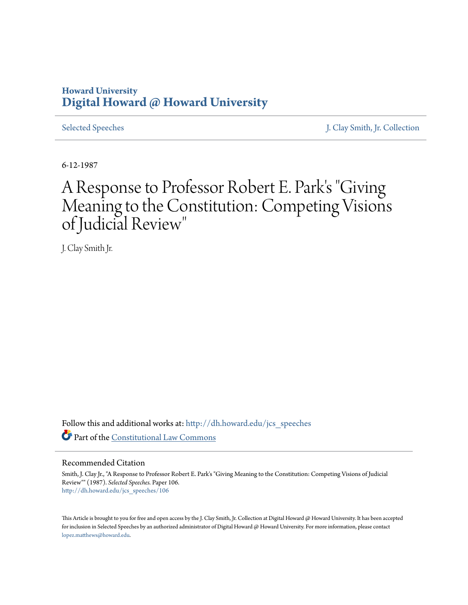## **Howard University [Digital Howard @ Howard University](http://dh.howard.edu?utm_source=dh.howard.edu%2Fjcs_speeches%2F106&utm_medium=PDF&utm_campaign=PDFCoverPages)**

[Selected Speeches](http://dh.howard.edu/jcs_speeches?utm_source=dh.howard.edu%2Fjcs_speeches%2F106&utm_medium=PDF&utm_campaign=PDFCoverPages) [J. Clay Smith, Jr. Collection](http://dh.howard.edu/jcsmith?utm_source=dh.howard.edu%2Fjcs_speeches%2F106&utm_medium=PDF&utm_campaign=PDFCoverPages)

6-12-1987

# A Response to Professor Robert E. Park's "Giving Meaning to the Constitution: Competing Visions of Judicial Review"

J. Clay Smith Jr.

Follow this and additional works at: [http://dh.howard.edu/jcs\\_speeches](http://dh.howard.edu/jcs_speeches?utm_source=dh.howard.edu%2Fjcs_speeches%2F106&utm_medium=PDF&utm_campaign=PDFCoverPages) Part of the [Constitutional Law Commons](http://network.bepress.com/hgg/discipline/589?utm_source=dh.howard.edu%2Fjcs_speeches%2F106&utm_medium=PDF&utm_campaign=PDFCoverPages)

### Recommended Citation

Smith, J. Clay Jr., "A Response to Professor Robert E. Park's "Giving Meaning to the Constitution: Competing Visions of Judicial Review"" (1987). *Selected Speeches.* Paper 106. [http://dh.howard.edu/jcs\\_speeches/106](http://dh.howard.edu/jcs_speeches/106?utm_source=dh.howard.edu%2Fjcs_speeches%2F106&utm_medium=PDF&utm_campaign=PDFCoverPages)

This Article is brought to you for free and open access by the J. Clay Smith, Jr. Collection at Digital Howard @ Howard University. It has been accepted for inclusion in Selected Speeches by an authorized administrator of Digital Howard @ Howard University. For more information, please contact [lopez.matthews@howard.edu.](mailto:lopez.matthews@howard.edu)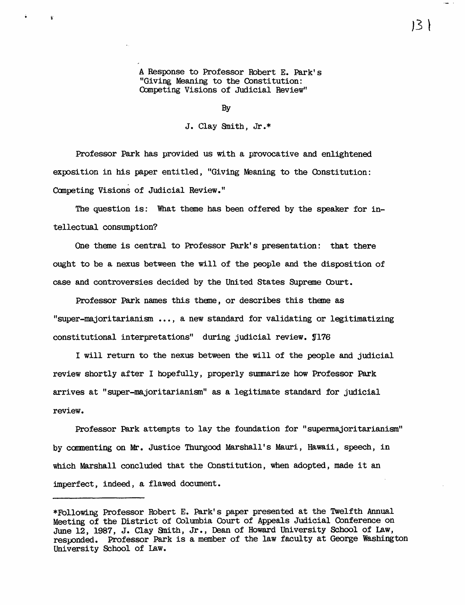A Response to Professor Robert E. Park's "Giving Meaning to the Constitution: Competing Visions of Judicial Review"

By

J. Clay Snith, Jr.\*

Professor Park has provided us with a provocative and enlightened exposition in his paper entitled, "Giving Meaning to the Constitution: Canpeting Visions of Judicial Review."

The question is: What theme has been offered by the speaker for intellectual consumption?

One theme is central to Professor Park's presentation: that there ought to be a nexus between the will of the people and the disposition of case and controversies decided by the United States Supreme Cburt.

Professor Park names this theme, or describes this theme as "super-majori tarianism ••• , a new standard for validating or legitimatizing constitutional interpretations" during judicial review. S176

I will return to the nexus between the will of the people and judicial review shortly after I hopefully, properly summarize how Professor Park arrives at "super-majoritarianism" as a legitimate standard for judicial review.

Professor Park attempts to lay the foundation for "supermajoritarianism" by commenting on Mr. Justice Thurgood Marshall's Mauri, Hawaii, speech, in which Marshall concluded that the Constitution, when adopted, made it an imperfect, indeed, a flawed document.

 $13 \}$ 

<sup>\*</sup>Following Professor Robert E. Park's paper presented at the Twelfth Annual Meeting of the District of Oolmnbia Court of Appeals Judicial Conference on June 12, 1987, J. Clay Smith, Jr., Dean of Howard University School of Law, responded. Professor Park is a member of the law faculty at George Washington University School of Law.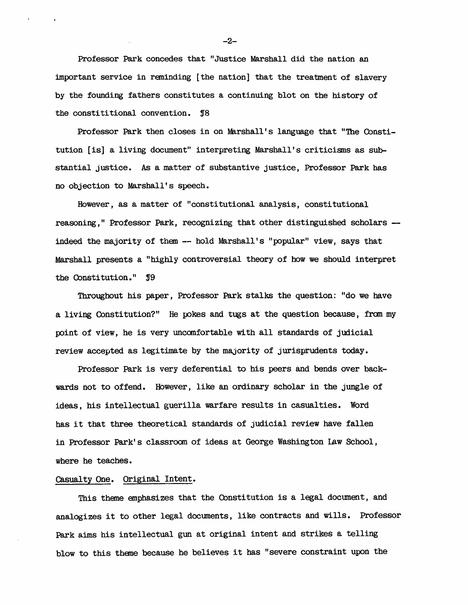Professor Park concedes that "Justice Marshall did the nation an important service in reminding [the nation] that the treatment of slavery by the founding fathers constitutes a continuing blot on the history of the constititional convention.  $$8$ 

Professor Park then closes in on Marshall's language that "The Constitution [is] a living document" interpreting Marshall's criticisns as substantial justice. As a matter of substantive justice, Professor Park has no objection to Marshall's speech.

However, as a matter of "constitutional analysis, constitutional reasoning," Professor Park, recognizing that other distinguished scholars indeed the majority of them -- hold Marshall's "popular" view, says that Marshall presents a "highly controversial theory of how we should interpret the Constitution."  $\mathbb{J}9$ 

Throughout his paper, Professor Park stalks the question: "do we have a living Constitution?" He pokes and tugs at the question because, fran my point of view, he is very uncomfortable with all standards of judicial review accepted as legitimate by the majority of jurisprudents today.

Professor Park is very deferential to his peers and bends over backwards not to offend. However, like an ordinary scholar in the jungle of ideas, his intellectual guerilla warfare results in casualties. Word has it that three theoretical standards of judicial review have fallen in Professor Park's classroom of ideas at George WaShington Law School, where he teaches.

#### Casualty One. Original Intent.

This theme emphasizes that the Constitution is a legal document, and analogizes it to other legal documents, like contracts and wills. Professor Park aims his intellectual gun at original intent and strikes a telling blow to this theme because he believes it has "severe constraint upon the

-2-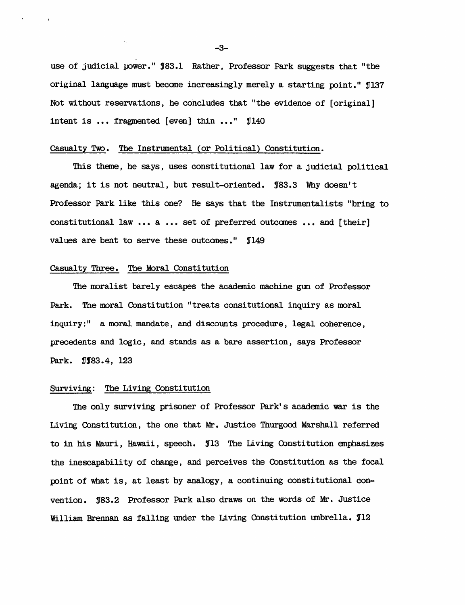use of judicial power."  $$83.1$  Rather, Professor Park suggests that "the original language must become increasingly merely a starting point." J137 Not without reservations, he concludes that "the evidence of [original] intent is  $\ldots$  fragmented [even] thin  $\ldots$ "  $\text{I}140$ 

#### Casualty Two. The Instrumental (or Political) Constitution.

This theme, he says, uses constitutional law for a judicial political agenda; it is not neutral, but result-oriented.  $$83.3$  Why doesn't Professor Park like this one? He says that the Instrumentalists "bring to constitutional law ••• a ••• set of preferred outcomes ••• and [their] values are bent to serve these outcomes." [149]

#### Casualty Three. The Moral Constitution

The moralist barely escapes the academic machine gun of Professor Park. The moral Constitution "treats consitutional inquiry as moral inquiry:" a moral mandate, and discounts procedure, legal coherence, precedents and logic, and stands as a bare assertion, says Professor Park. **1983.4**, 123

#### Surviving: The Living Constitution

The only surviving prisoner of Professor Park's acadanic war is the Living Constitution, the one that Mr. Justice Thurgood Marshall referred to in his Mauri, Hawaii, speech. Y13 The Living (bnsti tution anphasizes the inescapability of change, and perceives the Constitution as the focal point of what is, at least by analogy, a continuing constitutional convention. '83.2 Professor Park also draws on the words of Mr. Justice William Brennan as falling under the Living Constitution umbrella.  $J12$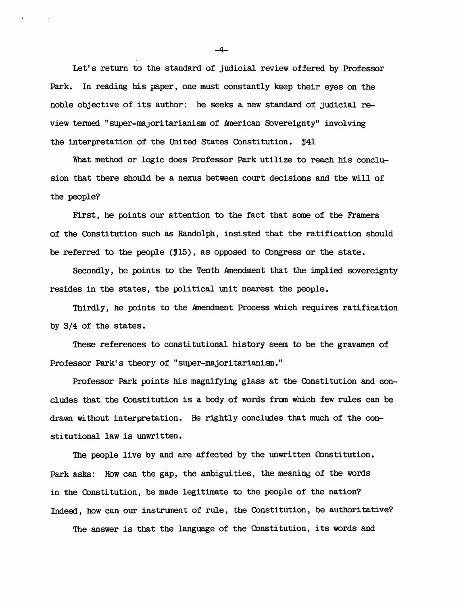Let's return to the standard of judicial review offered by Professor Park. In reading his paper, one must constantly keep their eyes on the noble objective of its author: he seeks a new standard of judicial review termed "super-majoritarianism of American Sovereignty" involving the interpretation of the United States Constitution.  $$41$ 

What method or logic does Professor Park utilize to reach his conclusion that there should be a nexus between court decisions and the will of the people?

First, he points our attention to the fact that some of the Framers of the Constitution such as Randolph, insisted that the ratification should be referred to the people  $(915)$ , as opposed to Congress or the state.

Secondly, he points to the Tenth Amendment that the implied sovereignty resides in the states, the political unit nearest the people.

Thirdly, he points to the Amendment Process which requires ratification by 3/4 of the states.

These references to constitutional history seem to be the gravamen of Professor Park's theory of "super-majoritarianisn."

Professor Park points his magnifying glass at the Constitution and concludes that the Constitution is a body of words fran which few rules can be drawn without interpretation. He rightly concludes that much of the constitutional law is unwritten.

The people live by and are affected by the unwritten Constitution. Park asks: How can the gap, the ambiguities, the meaning of the words in the Cbnstitution, be made legitimate to the people of the nation? Indeed, how can our instrument of rule, the Constitution, be authoritative?

The answer is that the language of the Constitution, its words and

-4-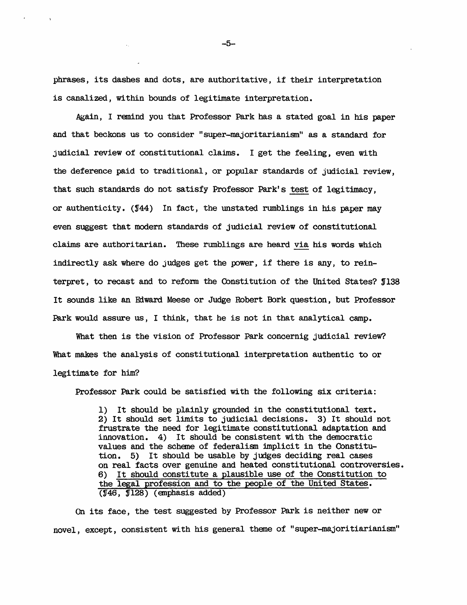phrases, its dashes and dots, are authoritative, if their interpretation is canalized, wi thin bounds of legitimate interpretation.

Again, I remind you that Professor Park has a stated goal in his paper and that beckons us to consider "super-majoritarianism" as a standard for judicial review of constitutional claims. I get the feeling, even with the deference paid to traditional, or popular standards of judicial review, that such standards do not satisfy Professor Park's test of legitimacy, or authenticity.  $(144)$  In fact, the unstated rumblings in his paper may even suggest that modern standards of judicial review of constitutional claims are authoritarian. These rumblings are heard via his words which indirectly ask where do judges get the power, if there is any, to reinterpret, to recast and to reform the Constitution of the United States? \$138 It sounds like an Edward Meese or Judge Robert Bork question, but Professor Park would assure us, I think, that he is not in that analytical camp.

What then is the vision of Professor Park concernig judicial review? What makes the analysis of constitutional interpretation authentic to or legitimate for him?

Professor Park could be satisfied with the following six criteria:

1) It should be plainly grounded in the constitutional text. 2) It should set limits to judicial decisions. 3) It should not frustrate the need for legitimate constitutional adaptation and innovation. 4) It should be consistent with the democratic values and the scheme of federalism implicit in the Constitution. 5) It should be usable by judges deciding real cases on real facts over genuine and heated constitutional controversies. 6) It should constitute a plausible use of the Constitution to the legal profession and to the people of the United States. (Y46, f128) (emphasis added)

On its face, the test suggested by Professor Park is neither new or novel, except, consistent with his general theme of "super-majoritiarianism"

-5-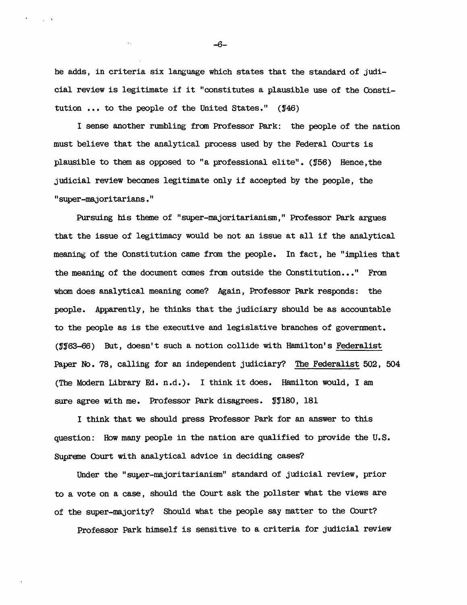he adds, in criteria six language which states that the standard of judicial review is legitimate if it "constitutes a plausible use of the Constitution  $\ldots$  to the people of the United States." ( $146$ )

I sense another rumbling fram Professor Park: the people of the nation must believe that the analytical process used by the Federal Courts is plausible to them as opposed to "a professional elite". (156) Hence, the judicial review becanes legitimate only if accepted by the people, the "super-majoritarians."

Pursuing his theme of "super-majoritarianism," Professor Park argues that the issue of legitimacy would be not an issue at all if the analytical meaning of the Constitution came from the people. In fact, he "implies that the meaning of the document comes from outside the Constitution..." From whom does analytical meaning come? Again, Professor Park responds: the people. Apparently, he thinks that the judiciary should be as accountable to the people as is the executive and legislative branches of government. (~163-66) But, doesn't such a notion collide with Hamilton's Federalist Paper No. 78, calling for an independent judiciary? The Federalist 502, 504 (The Modern Library Ed. n.d.). I think it does. Hamilton would, I am sure agree with me. Professor Park disagrees.  $$J180, 181$ 

I think that we should press Professor Park for an answer to this question: How many people in the nation are qualified to provide the U. S. Supreme Court with analytical advice in deciding cases?

Under the "super-majoritarianism" standard of judicial review, prior to a vote on a case, should the Court ask the pollster what the views are of the super-majority? Should what the people say matter to the Court?

Professor Park himself is sensitive to a criteria for judicial review

-6-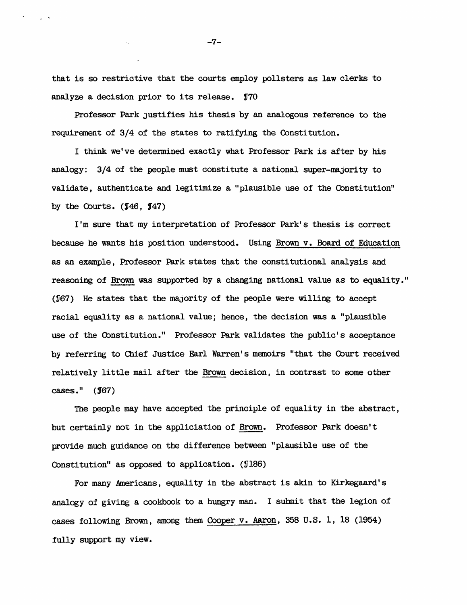that is so restrictive that the courts employ pollsters as law clerks to analyze a decision prior to its release. Y70

Professor Park Justifies his thesis by an analogous reference to the requirement of 3/4 of the states to ratifying the Oonstitution.

I think we've determined exactly what Professor Park is after by his analogy: 3/4 of the people must constitute a national super-majority to validate, authenticate and legitimize a "plausible use of the Oonstitution" by the Courts.  $(146, 147)$ 

I'm sure that my interpretation of Professor Park's thesis is correct because he wants his position understood. Using Brown v. Board of Education as an example, Professor Park states that the constitutional analysis and reasoning of Brown was supported by a changing national value as to equality." (Y67) He states that the majority of the people were willing to accept racial equality as a national value; hence, the decision was a "plausible use of the Cbnstitution." Professor Park validates the public's acceptance by referring to Chief Justice Earl Warren's memoirs "that the Cburt received relatively little mail after the Brown decision, in contrast to same other  $cases.$ "  $($  $\sqrt{67})$ 

The people may have accepted the principle of equality in the abstract, but certainly not in the appliciation of Brown. Professor Park doesn't provide much guidance on the difference between "plausible use of the Constitution" as opposed to application.  $(186)$ 

For many Americans, equality in the abstract is akin to Kirkegaard' s analogy of giving a cookbook to a hungry man. I submit that the legion of cases following Brown, among them Cooper v. Aaron, 358 U. S. 1, 18 (1954) fully support my view.

-7-

 $\sim 10^{-10}$